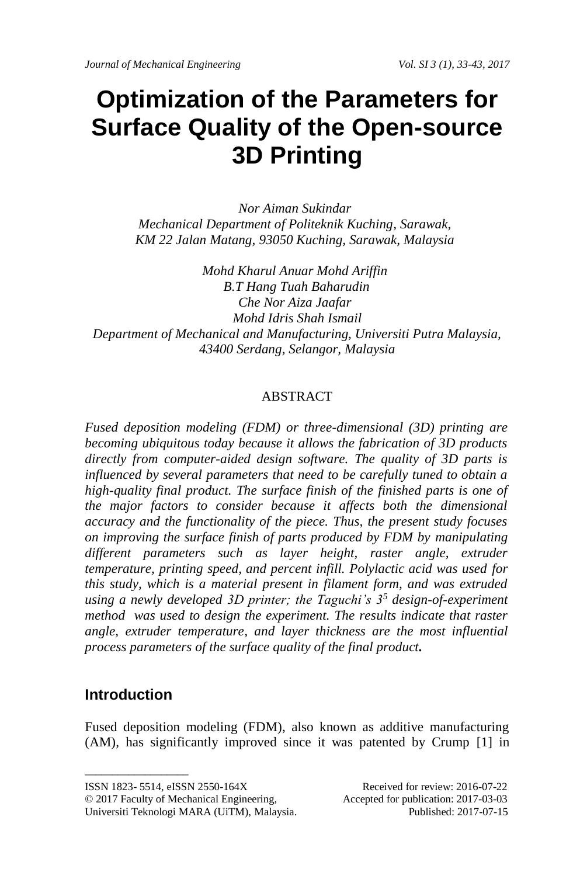# **Optimization of the Parameters for Surface Quality of the Open-source 3D Printing**

*Nor Aiman Sukindar Mechanical Department of Politeknik Kuching, Sarawak, KM 22 Jalan Matang, 93050 Kuching, Sarawak, Malaysia*

*Mohd Kharul Anuar Mohd Ariffin B.T Hang Tuah Baharudin Che Nor Aiza Jaafar Mohd Idris Shah Ismail Department of Mechanical and Manufacturing, Universiti Putra Malaysia, 43400 Serdang, Selangor, Malaysia*

# ABSTRACT

*Fused deposition modeling (FDM) or three-dimensional (3D) printing are becoming ubiquitous today because it allows the fabrication of 3D products directly from computer-aided design software. The quality of 3D parts is influenced by several parameters that need to be carefully tuned to obtain a high-quality final product. The surface finish of the finished parts is one of the major factors to consider because it affects both the dimensional accuracy and the functionality of the piece. Thus, the present study focuses on improving the surface finish of parts produced by FDM by manipulating different parameters such as layer height, raster angle, extruder temperature, printing speed, and percent infill. Polylactic acid was used for this study, which is a material present in filament form, and was extruded using a newly developed 3D printer; the Taguchi's 3<sup>5</sup> design-of-experiment method was used to design the experiment. The results indicate that raster angle, extruder temperature, and layer thickness are the most influential process parameters of the surface quality of the final product.*

# **Introduction**

 $\_$ 

Fused deposition modeling (FDM), also known as additive manufacturing (AM), has significantly improved since it was patented by Crump [1] in

© 2017 Faculty of Mechanical Engineering, Accepted for publication: 2017-03-03 Universiti Teknologi MARA (UiTM), Malaysia. Published: 2017-07-15

ISSN 1823- 5514, eISSN 2550-164X Received for review: 2016-07-22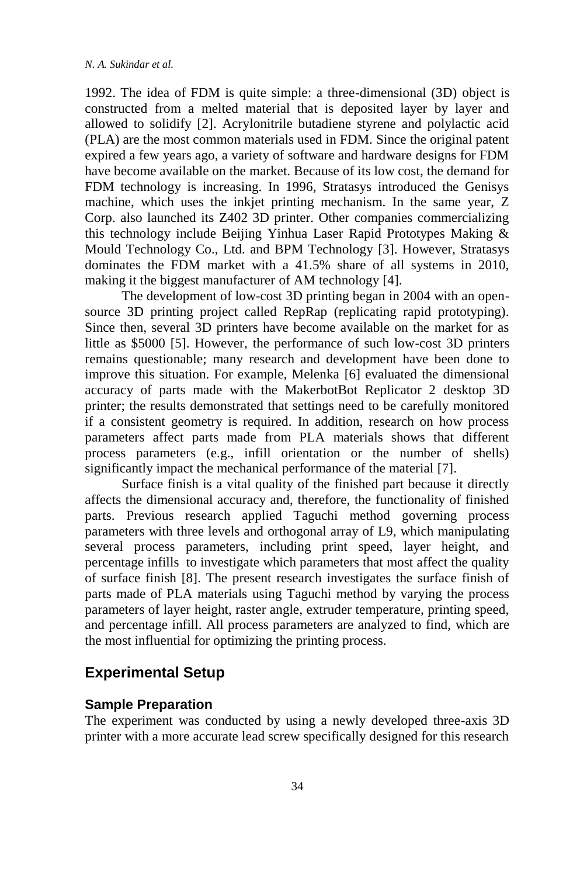1992. The idea of FDM is quite simple: a three-dimensional (3D) object is constructed from a melted material that is deposited layer by layer and allowed to solidify [2]. Acrylonitrile butadiene styrene and polylactic acid (PLA) are the most common materials used in FDM. Since the original patent expired a few years ago, a variety of software and hardware designs for FDM have become available on the market. Because of its low cost, the demand for FDM technology is increasing. In 1996, Stratasys introduced the Genisys machine, which uses the inkjet printing mechanism. In the same year, Z Corp. also launched its Z402 3D printer. Other companies commercializing this technology include Beijing Yinhua Laser Rapid Prototypes Making & Mould Technology Co., Ltd. and BPM Technology [3]. However, Stratasys dominates the FDM market with a 41.5% share of all systems in 2010, making it the biggest manufacturer of AM technology [4].

The development of low-cost 3D printing began in 2004 with an opensource 3D printing project called RepRap (replicating rapid prototyping). Since then, several 3D printers have become available on the market for as little as \$5000 [5]. However, the performance of such low-cost 3D printers remains questionable; many research and development have been done to improve this situation. For example, Melenka [6] evaluated the dimensional accuracy of parts made with the MakerbotBot Replicator 2 desktop 3D printer; the results demonstrated that settings need to be carefully monitored if a consistent geometry is required. In addition, research on how process parameters affect parts made from PLA materials shows that different process parameters (e.g., infill orientation or the number of shells) significantly impact the mechanical performance of the material [7].

Surface finish is a vital quality of the finished part because it directly affects the dimensional accuracy and, therefore, the functionality of finished parts. Previous research applied Taguchi method governing process parameters with three levels and orthogonal array of L9, which manipulating several process parameters, including print speed, layer height, and percentage infills to investigate which parameters that most affect the quality of surface finish [8]. The present research investigates the surface finish of parts made of PLA materials using Taguchi method by varying the process parameters of layer height, raster angle, extruder temperature, printing speed, and percentage infill. All process parameters are analyzed to find, which are the most influential for optimizing the printing process.

## **Experimental Setup**

#### **Sample Preparation**

The experiment was conducted by using a newly developed three-axis 3D printer with a more accurate lead screw specifically designed for this research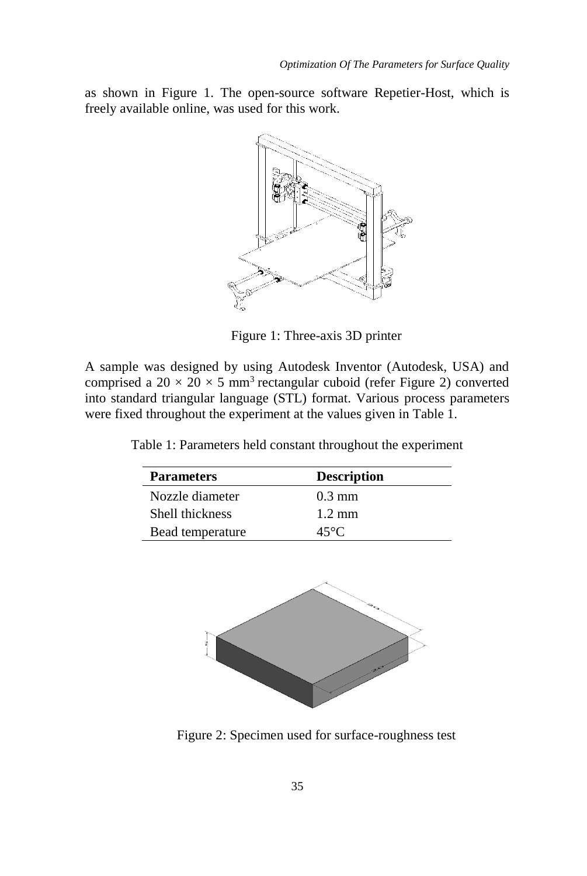as shown in Figure 1. The open-source software Repetier-Host, which is freely available online, was used for this work.



Figure 1: Three-axis 3D printer

A sample was designed by using Autodesk Inventor (Autodesk, USA) and comprised a  $20 \times 20 \times 5$  mm<sup>3</sup> rectangular cuboid (refer Figure 2) converted into standard triangular language (STL) format. Various process parameters were fixed throughout the experiment at the values given in Table 1.

Table 1: Parameters held constant throughout the experiment

| <b>Parameters</b> | <b>Description</b> |
|-------------------|--------------------|
| Nozzle diameter   | $0.3 \text{ mm}$   |
| Shell thickness   | $1.2 \text{ mm}$   |
| Bead temperature  | 45°C.              |



Figure 2: Specimen used for surface-roughness test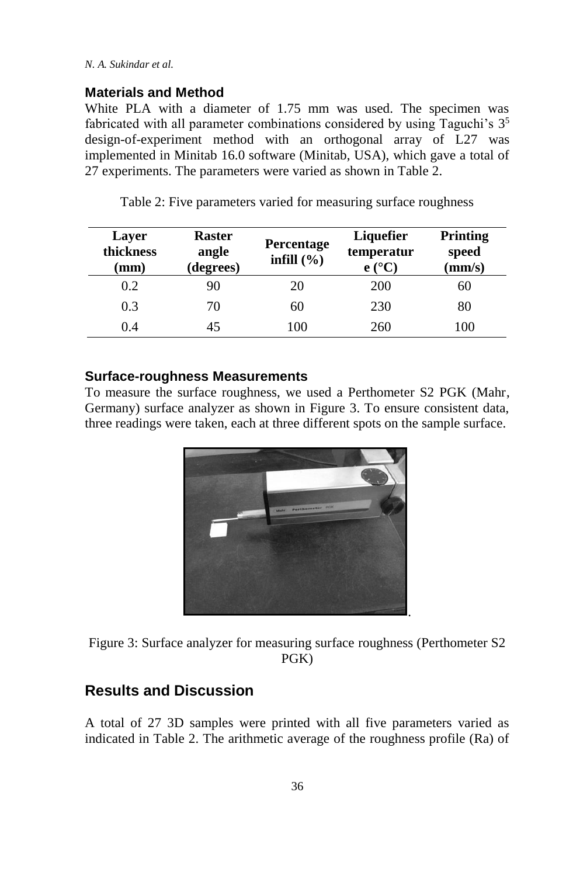### **Materials and Method**

White PLA with a diameter of 1.75 mm was used. The specimen was fabricated with all parameter combinations considered by using Taguchi's  $3<sup>5</sup>$ design-of-experiment method with an orthogonal array of L27 was implemented in Minitab 16.0 software (Minitab, USA), which gave a total of 27 experiments. The parameters were varied as shown in Table 2.

| Layer<br>thickness<br>mm) | <b>Raster</b><br>angle<br>(degrees) | <b>Percentage</b><br>infill $(\% )$ | Liquefier<br>temperatur<br>$e(^{\circ}C)$ | <b>Printing</b><br>speed<br>(mm/s) |
|---------------------------|-------------------------------------|-------------------------------------|-------------------------------------------|------------------------------------|
| 0.2                       | 90                                  | 20                                  | 200                                       | 60                                 |
| 0.3                       | 70                                  | 60                                  | 230                                       | 80                                 |
| 0.4                       | 45                                  | 100                                 | 260                                       | 100                                |

Table 2: Five parameters varied for measuring surface roughness

#### **Surface-roughness Measurements**

To measure the surface roughness, we used a Perthometer S2 PGK (Mahr, Germany) surface analyzer as shown in Figure 3. To ensure consistent data, three readings were taken, each at three different spots on the sample surface.



Figure 3: Surface analyzer for measuring surface roughness (Perthometer S2 PGK)

# **Results and Discussion**

A total of 27 3D samples were printed with all five parameters varied as indicated in Table 2. The arithmetic average of the roughness profile (Ra) of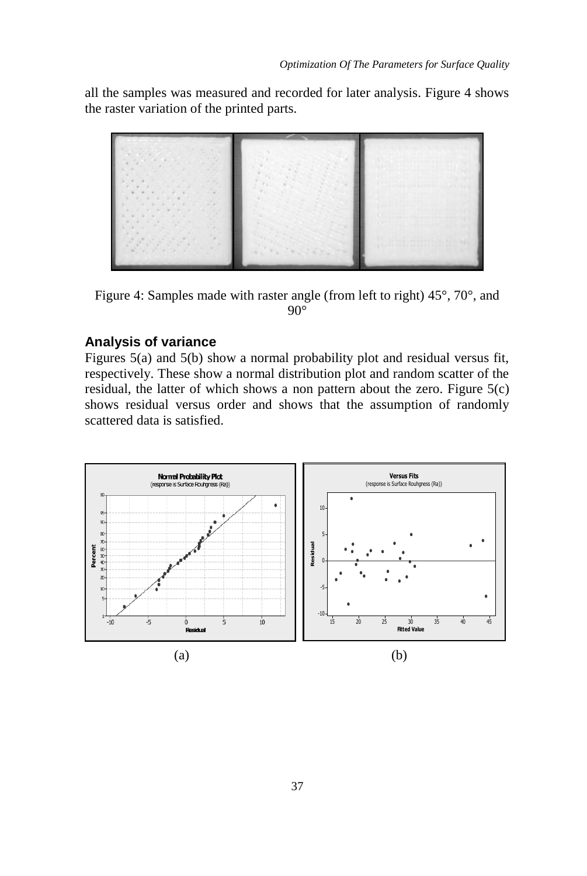all the samples was measured and recorded for later analysis. Figure 4 shows the raster variation of the printed parts.



Figure 4: Samples made with raster angle (from left to right) 45°, 70°, and  $90^\circ$ 

## **Analysis of variance**

Figures 5(a) and 5(b) show a normal probability plot and residual versus fit, respectively. These show a normal distribution plot and random scatter of the residual, the latter of which shows a non pattern about the zero. Figure 5(c) shows residual versus order and shows that the assumption of randomly scattered data is satisfied.

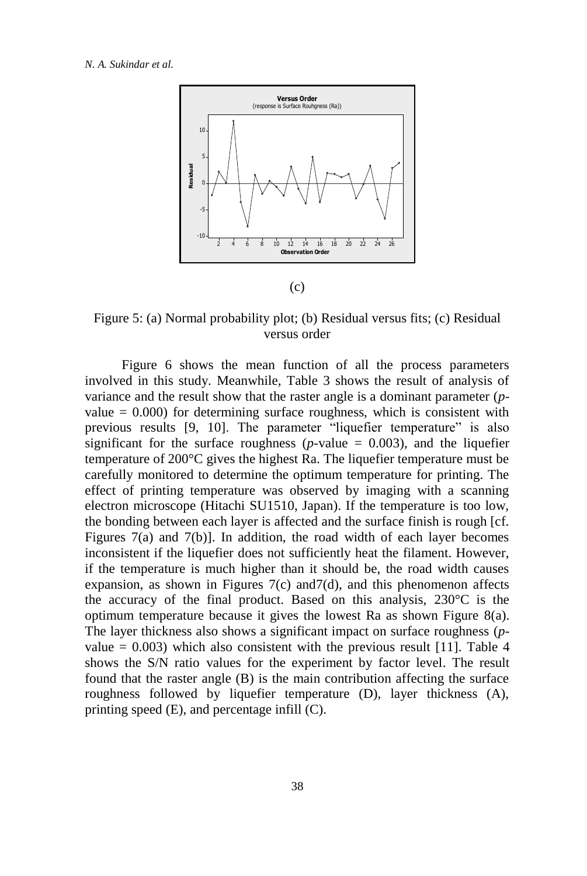#### *N. A. Sukindar et al.*



(c)

Figure 5: (a) Normal probability plot; (b) Residual versus fits; (c) Residual versus order

Figure 6 shows the mean function of all the process parameters involved in this study. Meanwhile, Table 3 shows the result of analysis of variance and the result show that the raster angle is a dominant parameter (*p*value  $= 0.000$ ) for determining surface roughness, which is consistent with previous results [9, 10]. The parameter "liquefier temperature" is also significant for the surface roughness ( $p$ -value = 0.003), and the liquefier temperature of 200°C gives the highest Ra. The liquefier temperature must be carefully monitored to determine the optimum temperature for printing. The effect of printing temperature was observed by imaging with a scanning electron microscope (Hitachi SU1510, Japan). If the temperature is too low, the bonding between each layer is affected and the surface finish is rough [cf. Figures 7(a) and 7(b)]. In addition, the road width of each layer becomes inconsistent if the liquefier does not sufficiently heat the filament. However, if the temperature is much higher than it should be, the road width causes expansion, as shown in Figures  $7(c)$  and  $7(d)$ , and this phenomenon affects the accuracy of the final product. Based on this analysis, 230°C is the optimum temperature because it gives the lowest Ra as shown Figure 8(a). The layer thickness also shows a significant impact on surface roughness (*p*value  $= 0.003$ ) which also consistent with the previous result [11]. Table 4 shows the S/N ratio values for the experiment by factor level. The result found that the raster angle (B) is the main contribution affecting the surface roughness followed by liquefier temperature (D), layer thickness (A), printing speed (E), and percentage infill (C).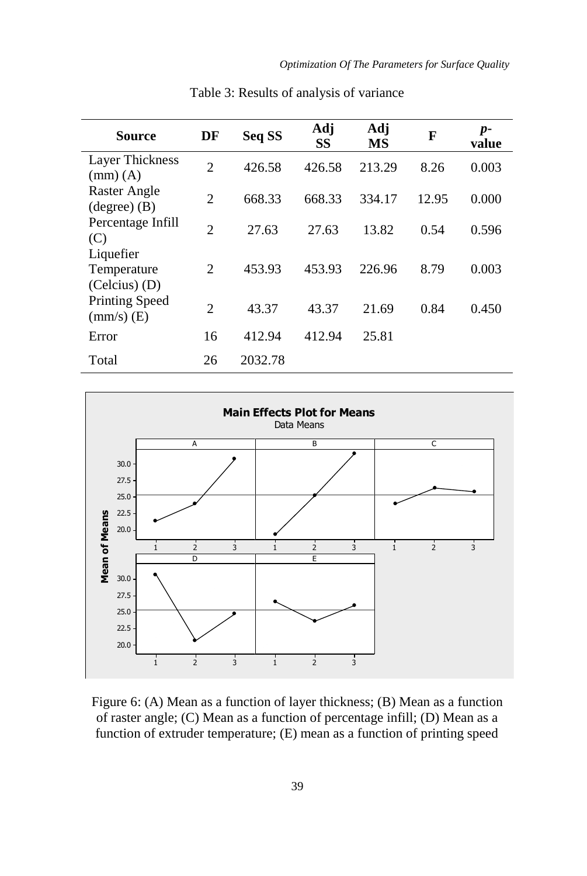| <b>Source</b>                                 | DF             | Seq SS  | Adj<br>SS | Adj<br><b>MS</b> | F     | $p-$<br>value |
|-----------------------------------------------|----------------|---------|-----------|------------------|-------|---------------|
| Layer Thickness<br>$mm)$ (A)                  | $\overline{c}$ | 426.58  | 426.58    | 213.29           | 8.26  | 0.003         |
| Raster Angle<br>$(\text{degree})$ (B)         | 2              | 668.33  | 668.33    | 334.17           | 12.95 | 0.000         |
| Percentage Infill<br>(C)                      | $\mathfrak{D}$ | 27.63   | 27.63     | 13.82            | 0.54  | 0.596         |
| Liquefier<br>Temperature<br>$(Celcius)$ $(D)$ | 2              | 453.93  | 453.93    | 226.96           | 8.79  | 0.003         |
| Printing Speed<br>$\text{(mm/s)}$ (E)         | $\overline{c}$ | 43.37   | 43.37     | 21.69            | 0.84  | 0.450         |
| Error                                         | 16             | 412.94  | 412.94    | 25.81            |       |               |
| Total                                         | 26             | 2032.78 |           |                  |       |               |

Table 3: Results of analysis of variance



Figure 6: (A) Mean as a function of layer thickness; (B) Mean as a function of raster angle; (C) Mean as a function of percentage infill; (D) Mean as a function of extruder temperature; (E) mean as a function of printing speed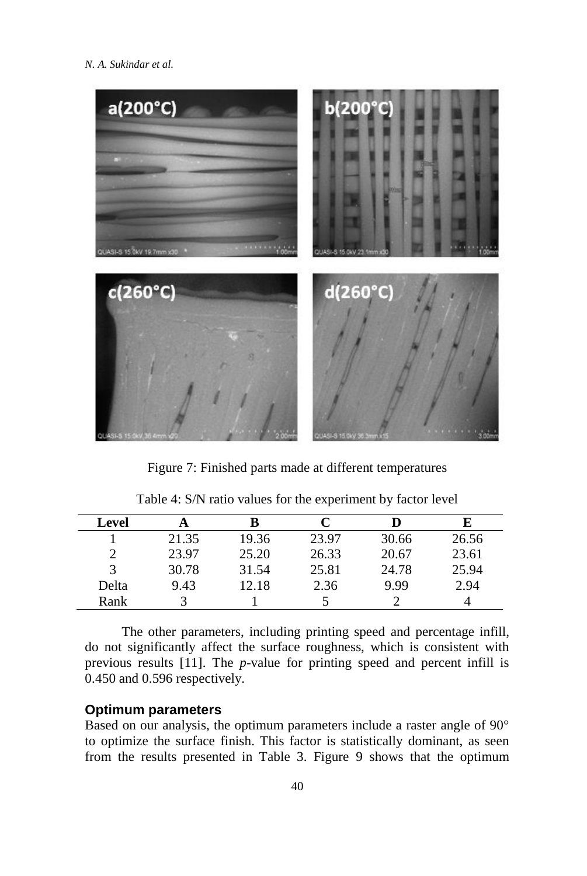*N. A. Sukindar et al.*



Figure 7: Finished parts made at different temperatures

| Level |       |       | C     | D     | E     |
|-------|-------|-------|-------|-------|-------|
|       | 21.35 | 19.36 | 23.97 | 30.66 | 26.56 |
| 2     | 23.97 | 25.20 | 26.33 | 20.67 | 23.61 |
| 3     | 30.78 | 31.54 | 25.81 | 24.78 | 25.94 |
| Delta | 9.43  | 12.18 | 2.36  | 9.99  | 2.94  |
| Rank  |       |       |       |       |       |
|       |       |       |       |       |       |

Table 4: S/N ratio values for the experiment by factor level

The other parameters, including printing speed and percentage infill, do not significantly affect the surface roughness, which is consistent with previous results [11]. The *p*-value for printing speed and percent infill is 0.450 and 0.596 respectively.

## **Optimum parameters**

Based on our analysis, the optimum parameters include a raster angle of 90° to optimize the surface finish. This factor is statistically dominant, as seen from the results presented in Table 3. Figure 9 shows that the optimum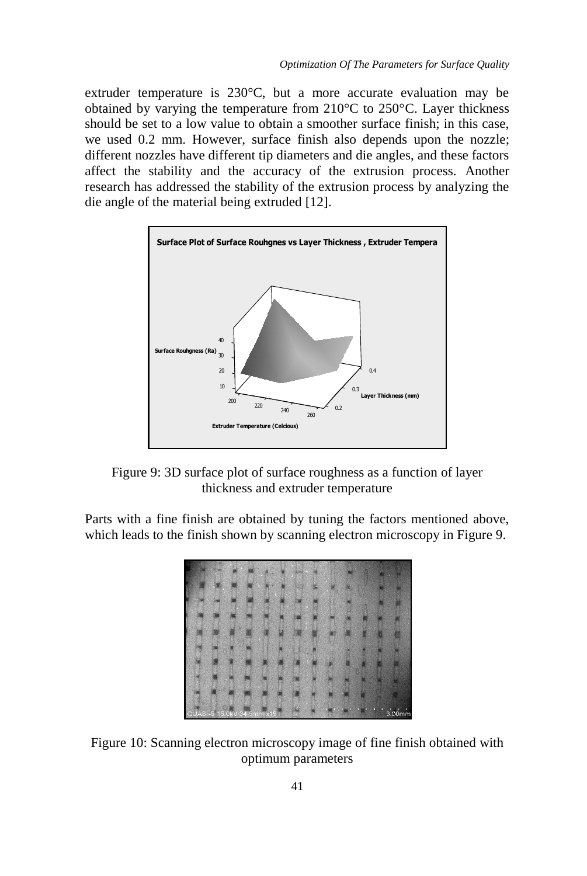extruder temperature is 230°C, but a more accurate evaluation may be obtained by varying the temperature from 210°C to 250°C. Layer thickness should be set to a low value to obtain a smoother surface finish; in this case, we used 0.2 mm. However, surface finish also depends upon the nozzle; different nozzles have different tip diameters and die angles, and these factors affect the stability and the accuracy of the extrusion process. Another research has addressed the stability of the extrusion process by analyzing the die angle of the material being extruded [12].



Figure 9: 3D surface plot of surface roughness as a function of layer thickness and extruder temperature

Parts with a fine finish are obtained by tuning the factors mentioned above, which leads to the finish shown by scanning electron microscopy in Figure 9.



Figure 10: Scanning electron microscopy image of fine finish obtained with optimum parameters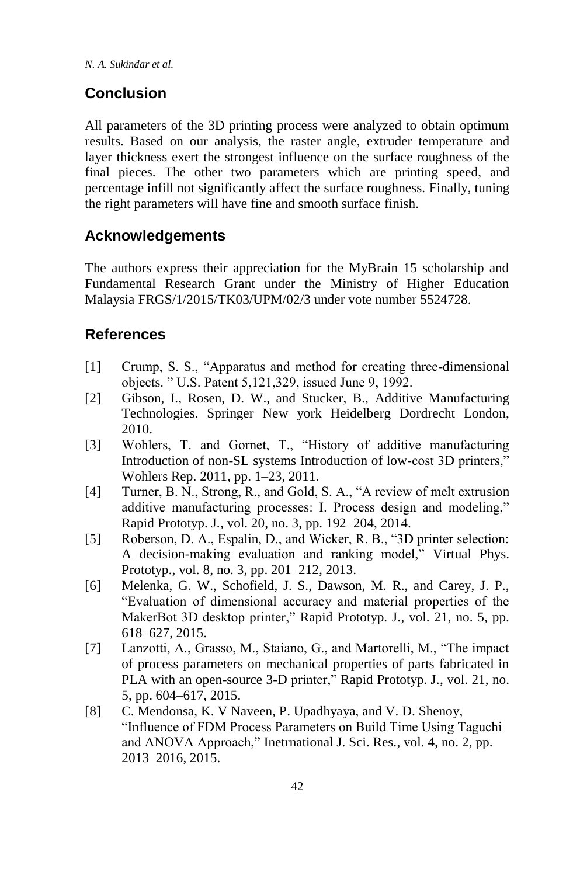*N. A. Sukindar et al.*

# **Conclusion**

All parameters of the 3D printing process were analyzed to obtain optimum results. Based on our analysis, the raster angle, extruder temperature and layer thickness exert the strongest influence on the surface roughness of the final pieces. The other two parameters which are printing speed, and percentage infill not significantly affect the surface roughness. Finally, tuning the right parameters will have fine and smooth surface finish.

# **Acknowledgements**

The authors express their appreciation for the MyBrain 15 scholarship and Fundamental Research Grant under the Ministry of Higher Education Malaysia FRGS/1/2015/TK03/UPM/02/3 under vote number 5524728.

# **References**

- [1] Crump, S. S., "Apparatus and method for creating three-dimensional objects. " U.S. Patent 5,121,329, issued June 9, 1992.
- [2] Gibson, I., Rosen, D. W., and Stucker, B., Additive Manufacturing Technologies. Springer New york Heidelberg Dordrecht London, 2010.
- [3] Wohlers, T. and Gornet, T., "History of additive manufacturing Introduction of non-SL systems Introduction of low-cost 3D printers," Wohlers Rep. 2011, pp. 1–23, 2011.
- [4] Turner, B. N., Strong, R., and Gold, S. A., "A review of melt extrusion additive manufacturing processes: I. Process design and modeling," Rapid Prototyp. J., vol. 20, no. 3, pp. 192–204, 2014.
- [5] Roberson, D. A., Espalin, D., and Wicker, R. B., "3D printer selection: A decision-making evaluation and ranking model," Virtual Phys. Prototyp., vol. 8, no. 3, pp. 201–212, 2013.
- [6] Melenka, G. W., Schofield, J. S., Dawson, M. R., and Carey, J. P., "Evaluation of dimensional accuracy and material properties of the MakerBot 3D desktop printer," Rapid Prototyp. J., vol. 21, no. 5, pp. 618–627, 2015.
- [7] Lanzotti, A., Grasso, M., Staiano, G., and Martorelli, M., "The impact of process parameters on mechanical properties of parts fabricated in PLA with an open-source 3-D printer," Rapid Prototyp. J., vol. 21, no. 5, pp. 604–617, 2015.
- [8] C. Mendonsa, K. V Naveen, P. Upadhyaya, and V. D. Shenoy, "Influence of FDM Process Parameters on Build Time Using Taguchi and ANOVA Approach," Inetrnational J. Sci. Res., vol. 4, no. 2, pp. 2013–2016, 2015.